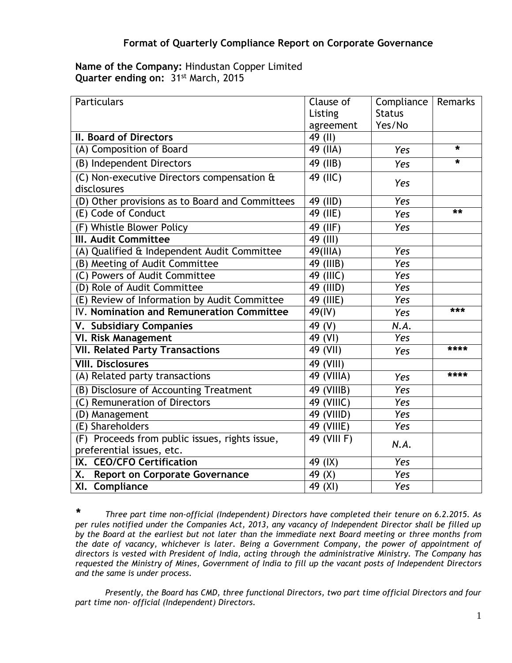## **Name of the Company:** Hindustan Copper Limited **Quarter ending on:** 31st March, 2015

| Particulars                                               | Clause of   | Compliance    | Remarks |
|-----------------------------------------------------------|-------------|---------------|---------|
|                                                           | Listing     | <b>Status</b> |         |
|                                                           | agreement   | Yes/No        |         |
| II. Board of Directors                                    | 49 (II)     |               |         |
| (A) Composition of Board                                  | 49 (IIA)    | Yes           | *       |
| (B) Independent Directors                                 | 49 (IIB)    | Yes           | $\star$ |
| (C) Non-executive Directors compensation &<br>disclosures | $49$ (IIC)  | Yes           |         |
|                                                           |             | <b>Yes</b>    |         |
| (D) Other provisions as to Board and Committees           | 49 (IID)    |               | **      |
| (E) Code of Conduct                                       | 49 (IIE)    | Yes           |         |
| (F) Whistle Blower Policy                                 | 49 (IIF)    | Yes           |         |
| <b>III. Audit Committee</b>                               | 49 (III)    |               |         |
| (A) Qualified & Independent Audit Committee               | $49$ (IIIA) | Yes           |         |
| (B) Meeting of Audit Committee                            | 49 (IIIB)   | Yes           |         |
| (C) Powers of Audit Committee                             | 49 (IIIC)   | Yes           |         |
| (D) Role of Audit Committee                               | 49 (IIID)   | Yes           |         |
| (E) Review of Information by Audit Committee              | 49 (IIIE)   | Yes           |         |
| IV. Nomination and Remuneration Committee                 | 49(IV)      | Yes           | ***     |
| V. Subsidiary Companies                                   | 49 (V)      | N.A.          |         |
| <b>VI. Risk Management</b>                                | 49 (VI)     | Yes           |         |
| <b>VII. Related Party Transactions</b>                    | 49 (VII)    | Yes           | ****    |
| <b>VIII. Disclosures</b>                                  | 49 (VIII)   |               |         |
| (A) Related party transactions                            | 49 (VIIIA)  | Yes           | ****    |
| (B) Disclosure of Accounting Treatment                    | 49 (VIIIB)  | Yes           |         |
| (C) Remuneration of Directors                             | 49 (VIIIC)  | Yes           |         |
| (D) Management                                            | 49 (VIIID)  | Yes           |         |
| (E) Shareholders                                          | 49 (VIIIE)  | Yes           |         |
| (F) Proceeds from public issues, rights issue,            | 49 (VIII F) | N.A.          |         |
| preferential issues, etc.                                 |             |               |         |
| IX. CEO/CFO Certification                                 | 49 (IX)     | <b>Yes</b>    |         |
| <b>Report on Corporate Governance</b><br>Х.               | 49 (X)      | Yes           |         |
| XI. Compliance                                            | 49 (XI)     | Yes           |         |

*\* Three part time non-official (Independent) Directors have completed their tenure on 6.2.2015. As per rules notified under the Companies Act, 2013, any vacancy of Independent Director shall be filled up by the Board at the earliest but not later than the immediate next Board meeting or three months from the date of vacancy, whichever is later. Being a Government Company, the power of appointment of directors is vested with President of India, acting through the administrative Ministry. The Company has requested the Ministry of Mines, Government of India to fill up the vacant posts of Independent Directors and the same is under process.*

*Presently, the Board has CMD, three functional Directors, two part time official Directors and four part time non- official (Independent) Directors.*